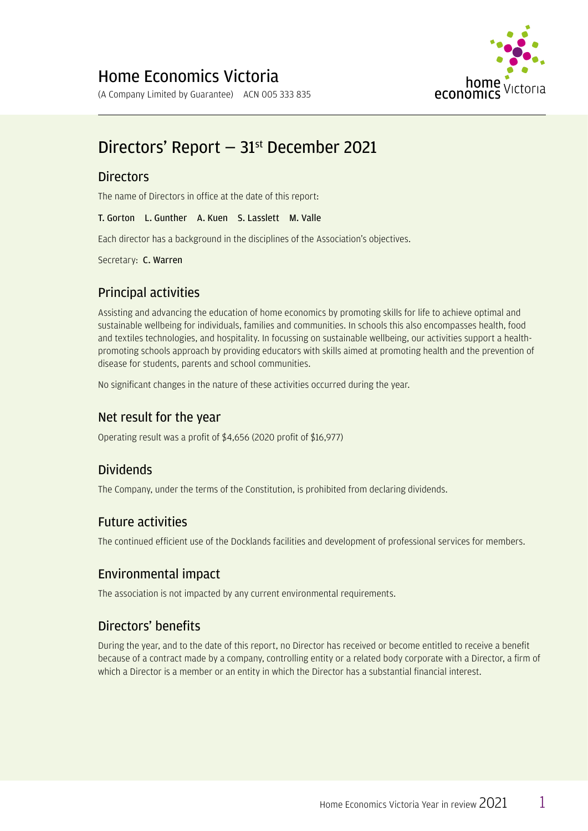

# Directors' Report - 31<sup>st</sup> December 2021

### **Directors**

The name of Directors in office at the date of this report:

T. Gorton L. Gunther A. Kuen S. Lasslett M. Valle

Each director has a background in the disciplines of the Association's objectives.

Secretary: C. Warren

### Principal activities

Assisting and advancing the education of home economics by promoting skills for life to achieve optimal and sustainable wellbeing for individuals, families and communities. In schools this also encompasses health, food and textiles technologies, and hospitality. In focussing on sustainable wellbeing, our activities support a healthpromoting schools approach by providing educators with skills aimed at promoting health and the prevention of disease for students, parents and school communities.

No significant changes in the nature of these activities occurred during the year.

### Net result for the year

Operating result was a profit of  $$4,656$  (2020 profit of  $$16,977$ )

### Dividends

The Company, under the terms of the Constitution, is prohibited from declaring dividends.

### Future activities

The continued efficient use of the Docklands facilities and development of professional services for members.

### Environmental impact

The association is not impacted by any current environmental requirements.

### Directors' benefits

During the year, and to the date of this report, no Director has received or become entitled to receive a benefit because of a contract made by a company, controlling entity or a related body corporate with a Director, a firm of which a Director is a member or an entity in which the Director has a substantial financial interest.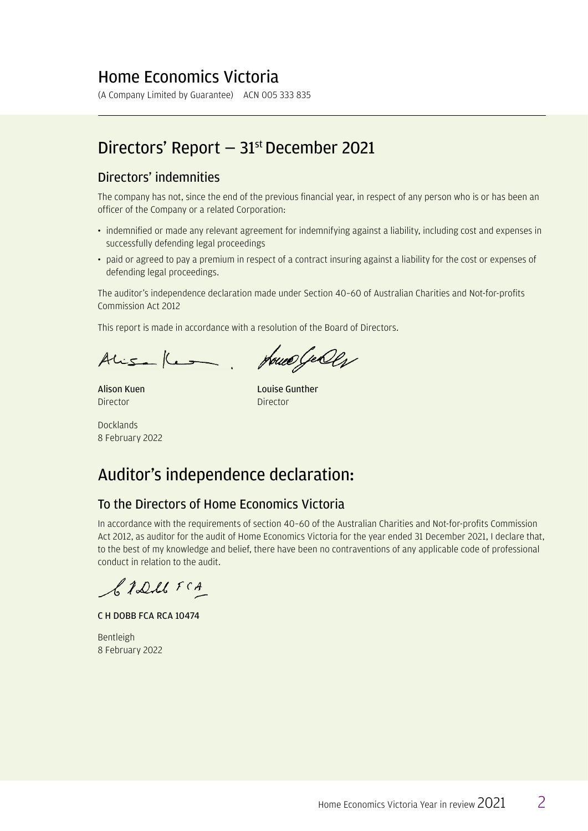### Home Economics Victoria

(A Company Limited by Guarantee) ACN 005 333 835

### Directors' Report — 31st December 2021

#### Directors' indemnities

The company has not, since the end of the previous financial year, in respect of any person who is or has been an officer of the Company or a related Corporation:

- indemnified or made any relevant agreement for indemnifying against a liability, including cost and expenses in successfully defending legal proceedings
- paid or agreed to pay a premium in respect of a contract insuring against a liability for the cost or expenses of defending legal proceedings.

The auditor's independence declaration made under Section 40-60 of Australian Charities and Not-for-profits Commission Act 2012

This report is made in accordance with a resolution of the Board of Directors.

Alisa Kes

House Geolg

Alison Kuen Director

Louise Gunther Director

Docklands8 February 2022

## Auditor's independence declaration:

### To the Directors of Home Economics Victoria

In accordance with the requirements of section 40-60 of the Australian Charities and Not-for-profits Commission Act 2012, as auditor for the audit of Home Economics Victoria for the year ended 31 December 2021, I declare that, to the best of my knowledge and belief, there have been no contraventions of any applicable code of professional conduct in relation to the audit.

S. TDM FCA

C H DOBB FCA RCA 10474

Bentleigh 8 February 2022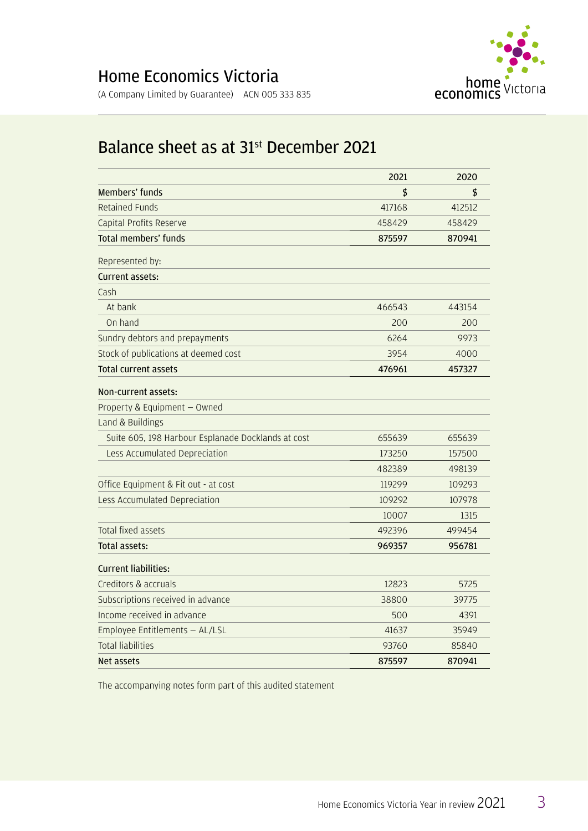

## Balance sheet as at 31<sup>st</sup> December 2021

|                                                    | 2021   | 2020   |
|----------------------------------------------------|--------|--------|
| Members' funds                                     | \$     | \$     |
| <b>Retained Funds</b>                              | 417168 | 412512 |
| Capital Profits Reserve                            | 458429 | 458429 |
| <b>Total members' funds</b>                        | 875597 | 870941 |
| Represented by:                                    |        |        |
| Current assets:                                    |        |        |
| Cash                                               |        |        |
| At bank                                            | 466543 | 443154 |
| On hand                                            | 200    | 200    |
| Sundry debtors and prepayments                     | 6264   | 9973   |
| Stock of publications at deemed cost               | 3954   | 4000   |
| <b>Total current assets</b>                        | 476961 | 457327 |
| Non-current assets:                                |        |        |
| Property & Equipment - Owned                       |        |        |
| Land & Buildings                                   |        |        |
| Suite 605, 198 Harbour Esplanade Docklands at cost | 655639 | 655639 |
| Less Accumulated Depreciation                      | 173250 | 157500 |
|                                                    | 482389 | 498139 |
| Office Equipment & Fit out - at cost               | 119299 | 109293 |
| Less Accumulated Depreciation                      | 109292 | 107978 |
|                                                    | 10007  | 1315   |
| <b>Total fixed assets</b>                          | 492396 | 499454 |
| Total assets:                                      | 969357 | 956781 |
| <b>Current liabilities:</b>                        |        |        |
| Creditors & accruals                               | 12823  | 5725   |
| Subscriptions received in advance                  | 38800  | 39775  |
| Income received in advance                         | 500    | 4391   |
| Employee Entitlements - AL/LSL                     | 41637  | 35949  |
| Total liabilities                                  | 93760  | 85840  |
| Net assets                                         | 875597 | 870941 |

The accompanying notes form part of this audited statement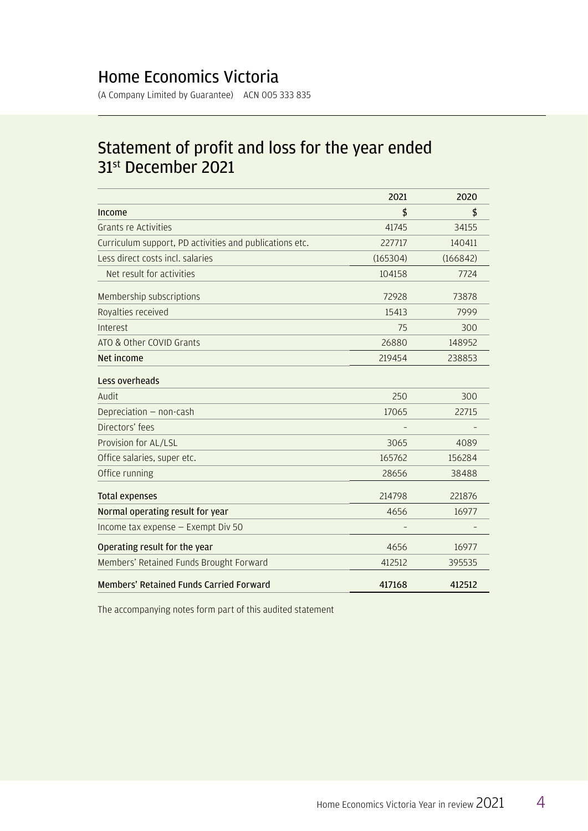### Home Economics Victoria

(A Company Limited by Guarantee) ACN 005 333 835

## Statement of profit and loss for the year ended 31<sup>st</sup> December 2021

|                                                         | 2021     | 2020     |
|---------------------------------------------------------|----------|----------|
| Income                                                  | \$       | \$       |
| Grants re Activities                                    | 41745    | 34155    |
| Curriculum support, PD activities and publications etc. | 227717   | 140411   |
| Less direct costs incl. salaries                        | (165304) | (166842) |
| Net result for activities                               | 104158   | 7724     |
| Membership subscriptions                                | 72928    | 73878    |
| Royalties received                                      | 15413    | 7999     |
| Interest                                                | 75       | 300      |
| ATO & Other COVID Grants                                | 26880    | 148952   |
| Net income                                              | 219454   | 238853   |
| Less overheads                                          |          |          |
| Audit                                                   | 250      | 300      |
| Depreciation - non-cash                                 | 17065    | 22715    |
| Directors' fees                                         |          |          |
| Provision for AL/LSL                                    | 3065     | 4089     |
| Office salaries, super etc.                             | 165762   | 156284   |
| Office running                                          | 28656    | 38488    |
| <b>Total expenses</b>                                   | 214798   | 221876   |
| Normal operating result for year                        | 4656     | 16977    |
| Income tax expense - Exempt Div 50                      |          |          |
| Operating result for the year                           | 4656     | 16977    |
| Members' Retained Funds Brought Forward                 | 412512   | 395535   |
| <b>Members' Retained Funds Carried Forward</b>          | 417168   | 412512   |

The accompanying notes form part of this audited statement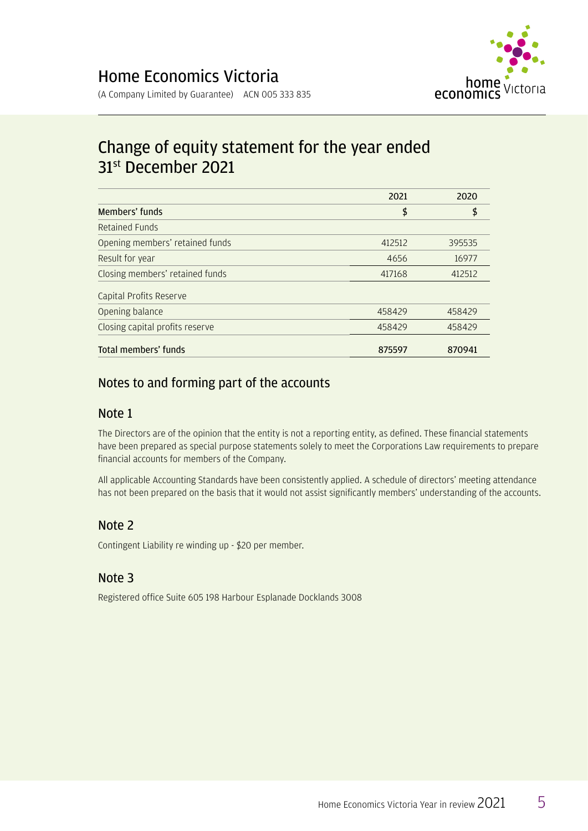

## Change of equity statement for the year ended 31st December 2021

|                                 | 2021   | 2020   |
|---------------------------------|--------|--------|
| Members' funds                  | \$     | \$     |
| Retained Funds                  |        |        |
| Opening members' retained funds | 412512 | 395535 |
| Result for year                 | 4656   | 16977  |
| Closing members' retained funds | 417168 | 412512 |
| Capital Profits Reserve         |        |        |
| Opening balance                 | 458429 | 458429 |
| Closing capital profits reserve | 458429 | 458429 |
| Total members' funds            | 875597 | 870941 |

### Notes to and forming part of the accounts

### Note 1

The Directors are of the opinion that the entity is not a reporting entity, as defined. These financial statements have been prepared as special purpose statements solely to meet the Corporations Law requirements to prepare financial accounts for members of the Company.

All applicable Accounting Standards have been consistently applied. A schedule of directors' meeting attendance has not been prepared on the basis that it would not assist significantly members' understanding of the accounts.

### Note 2

Contingent Liability re winding up - \$20 per member.

### Note 3

Registered office Suite 605 198 Harbour Esplanade Docklands 3008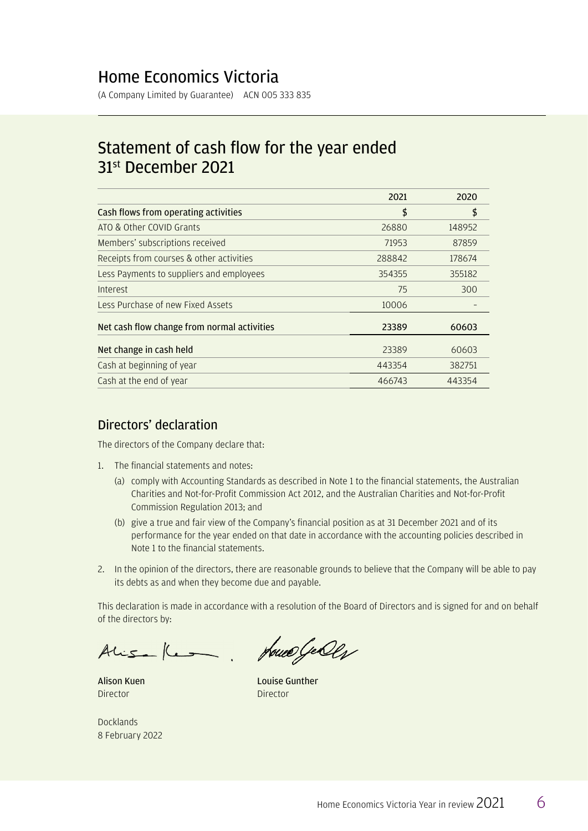### Home Economics Victoria

(A Company Limited by Guarantee) ACN 005 333 835

### Statement of cash flow for the year ended 31st December 2021

|                                             | 2021   | 2020   |
|---------------------------------------------|--------|--------|
| Cash flows from operating activities        | \$     | \$     |
| ATO & Other COVID Grants                    | 26880  | 148952 |
| Members' subscriptions received             | 71953  | 87859  |
| Receipts from courses & other activities    | 288842 | 178674 |
| Less Payments to suppliers and employees    | 354355 | 355182 |
| Interest                                    | 75     | 300    |
| Less Purchase of new Fixed Assets           | 10006  |        |
| Net cash flow change from normal activities | 23389  | 60603  |
| Net change in cash held                     | 23389  | 60603  |
| Cash at beginning of year                   | 443354 | 382751 |
| Cash at the end of year                     | 466743 | 443354 |

#### Directors' declaration

The directors of the Company declare that:

- 1. The financial statements and notes:
	- (a) comply with Accounting Standards as described in Note 1 to the financial statements, the Australian Charities and Not-for-Profit Commission Act 2012, and the Australian Charities and Not-for-Profit Commission Regulation 2013; and
	- (b) give a true and fair view of the Company's financial position as at 31 December 2021 and of its performance for the year ended on that date in accordance with the accounting policies described in Note 1 to the financial statements.
- 2. In the opinion of the directors, there are reasonable grounds to believe that the Company will be able to pay its debts as and when they become due and payable.

This declaration is made in accordance with a resolution of the Board of Directors and is signed for and on behalf of the directors by:

Alisa Kesa, House Geolg

Alison Kuen **Director** 

Louise Gunther **Director** 

**Docklands** 8 February 2022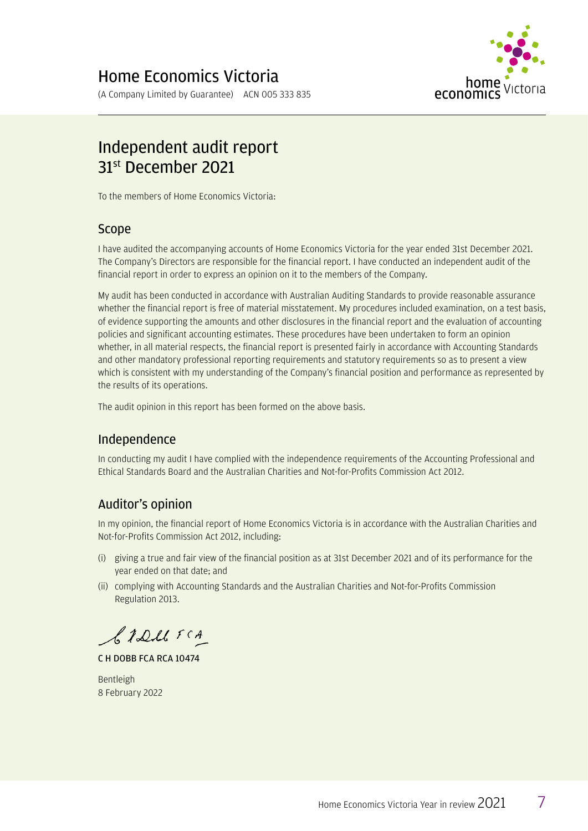

# Independent audit report 31<sup>st</sup> December 2021

To the members of Home Economics Victoria:

#### Scope

I have audited the accompanying accounts of Home Economics Victoria for the year ended 31st December 2021. The Company's Directors are responsible for the financial report. I have conducted an independent audit of the financial report in order to express an opinion on it to the members of the Company.

My audit has been conducted in accordance with Australian Auditing Standards to provide reasonable assurance whether the financial report is free of material misstatement. My procedures included examination, on a test basis, of evidence supporting the amounts and other disclosures in the financial report and the evaluation of accounting policies and significant accounting estimates. These procedures have been undertaken to form an opinion whether, in all material respects, the financial report is presented fairly in accordance with Accounting Standards and other mandatory professional reporting requirements and statutory requirements so as to present a view which is consistent with my understanding of the Company's financial position and performance as represented by the results of its operations.

The audit opinion in this report has been formed on the above basis.

### Independence

In conducting my audit I have complied with the independence requirements of the Accounting Professional and Ethical Standards Board and the Australian Charities and Not-for-Profits Commission Act 2012.

### Auditor's opinion

In my opinion, the financial report of Home Economics Victoria is in accordance with the Australian Charities and Not-for-Profits Commission Act 2012, including:

- $(i)$  giving a true and fair view of the financial position as at 31st December 2021 and of its performance for the year ended on that date; and
- (ii) complying with Accounting Standards and the Australian Charities and Not-for-Profits Commission Regulation 2013.

CIDMFCA

C H DOBB FCA RCA 10474

Bentleigh 8 February 2022